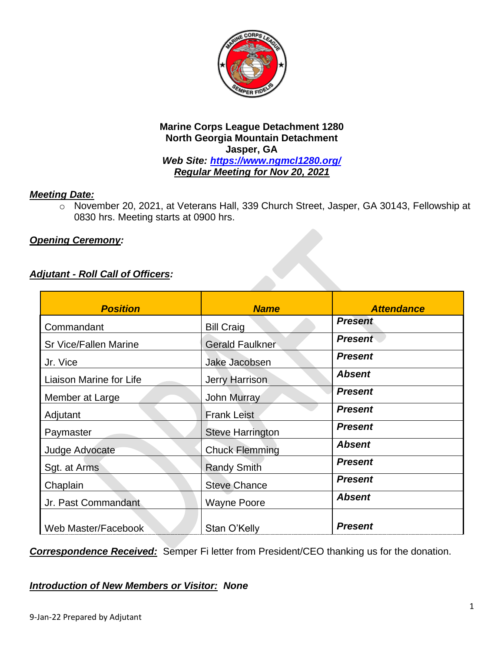

#### **Marine Corps League Detachment 1280 North Georgia Mountain Detachment Jasper, GA** *Web Site:<https://www.ngmcl1280.org/>*

*Regular Meeting for Nov 20, 2021*

#### *Meeting Date:*

o November 20, 2021, at Veterans Hall, 339 Church Street, Jasper, GA 30143, Fellowship at 0830 hrs. Meeting starts at 0900 hrs.

## *Opening Ceremony:*

## *Adjutant - Roll Call of Officers:*

| <b>Position</b>              | <b>Name</b>             | <b>Attendance</b> |
|------------------------------|-------------------------|-------------------|
| Commandant                   | <b>Bill Craig</b>       | <b>Present</b>    |
| <b>Sr Vice/Fallen Marine</b> | <b>Gerald Faulkner</b>  | <b>Present</b>    |
| Jr. Vice                     | Jake Jacobsen           | <b>Present</b>    |
| Liaison Marine for Life      | <b>Jerry Harrison</b>   | <b>Absent</b>     |
| Member at Large              | <b>John Murray</b>      | <b>Present</b>    |
| Adjutant                     | <b>Frank Leist</b>      | <b>Present</b>    |
| Paymaster                    | <b>Steve Harrington</b> | <b>Present</b>    |
| Judge Advocate               | <b>Chuck Flemming</b>   | <b>Absent</b>     |
| Sgt. at Arms                 | <b>Randy Smith</b>      | <b>Present</b>    |
| Chaplain                     | <b>Steve Chance</b>     | <b>Present</b>    |
| Jr. Past Commandant          | <b>Wayne Poore</b>      | <b>Absent</b>     |
| Web Master/Facebook          | Stan O'Kelly            | <b>Present</b>    |

*Correspondence Received:* Semper Fi letter from President/CEO thanking us for the donation.

#### *Introduction of New Members or Visitor: None*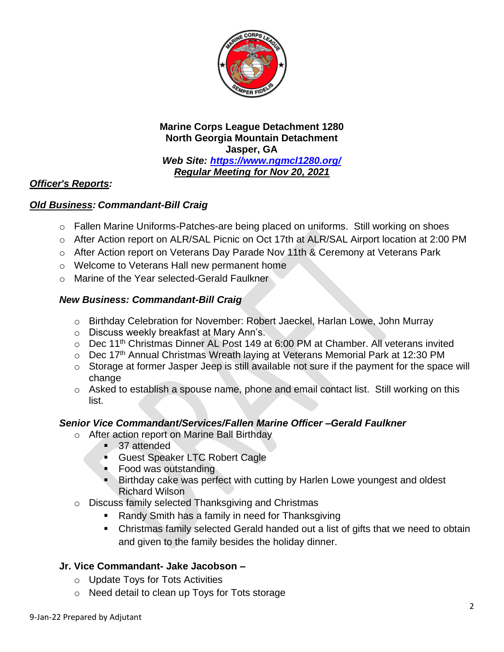

#### **Marine Corps League Detachment 1280 North Georgia Mountain Detachment Jasper, GA** *Web Site:<https://www.ngmcl1280.org/> Regular Meeting for Nov 20, 2021*

## *Officer's Reports:*

#### *Old Business: Commandant-Bill Craig*

- o Fallen Marine Uniforms-Patches-are being placed on uniforms. Still working on shoes
- o After Action report on ALR/SAL Picnic on Oct 17th at ALR/SAL Airport location at 2:00 PM
- o After Action report on Veterans Day Parade Nov 11th & Ceremony at Veterans Park
- o Welcome to Veterans Hall new permanent home
- o Marine of the Year selected-Gerald Faulkner

#### *New Business: Commandant-Bill Craig*

- o Birthday Celebration for November: Robert Jaeckel, Harlan Lowe, John Murray
- o Discuss weekly breakfast at Mary Ann's.
- $\circ$  Dec 11<sup>th</sup> Christmas Dinner AL Post 149 at 6:00 PM at Chamber. All veterans invited
- o Dec 17<sup>th</sup> Annual Christmas Wreath laying at Veterans Memorial Park at 12:30 PM
- o Storage at former Jasper Jeep is still available not sure if the payment for the space will change
- o Asked to establish a spouse name, phone and email contact list. Still working on this list.

#### *Senior Vice Commandant/Services/Fallen Marine Officer –Gerald Faulkner*

- o After action report on Marine Ball Birthday
	- 37 attended
	- **Example 3** Guest Speaker LTC Robert Cagle
	- Food was outstanding
	- Birthday cake was perfect with cutting by Harlen Lowe youngest and oldest Richard Wilson
- o Discuss family selected Thanksgiving and Christmas
	- Randy Smith has a family in need for Thanksgiving
	- Christmas family selected Gerald handed out a list of gifts that we need to obtain and given to the family besides the holiday dinner.

#### **Jr. Vice Commandant- Jake Jacobson –**

- o Update Toys for Tots Activities
- o Need detail to clean up Toys for Tots storage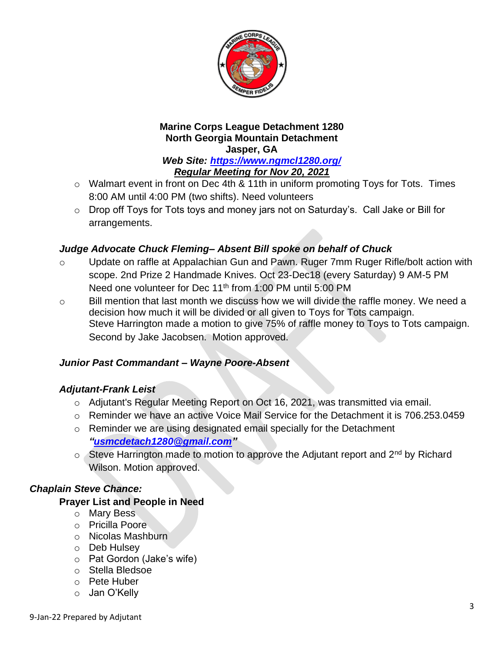

#### **Marine Corps League Detachment 1280 North Georgia Mountain Detachment Jasper, GA**

*Web Site:<https://www.ngmcl1280.org/> Regular Meeting for Nov 20, 2021*

- o Walmart event in front on Dec 4th & 11th in uniform promoting Toys for Tots. Times 8:00 AM until 4:00 PM (two shifts). Need volunteers
- o Drop off Toys for Tots toys and money jars not on Saturday's. Call Jake or Bill for arrangements.

# *Judge Advocate Chuck Fleming– Absent Bill spoke on behalf of Chuck*

- o Update on raffle at Appalachian Gun and Pawn. Ruger 7mm Ruger Rifle/bolt action with scope. 2nd Prize 2 Handmade Knives. Oct 23-Dec18 (every Saturday) 9 AM-5 PM Need one volunteer for Dec 11<sup>th</sup> from 1:00 PM until 5:00 PM
- o Bill mention that last month we discuss how we will divide the raffle money. We need a decision how much it will be divided or all given to Toys for Tots campaign. Steve Harrington made a motion to give 75% of raffle money to Toys to Tots campaign. Second by Jake Jacobsen. Motion approved.

# *Junior Past Commandant – Wayne Poore-Absent*

# *Adjutant-Frank Leist*

- o Adjutant's Regular Meeting Report on Oct 16, 2021, was transmitted via email.
- $\circ$  Reminder we have an active Voice Mail Service for the Detachment it is 706.253.0459
- o Reminder we are using designated email specially for the Detachment *["usmcdetach1280@gmail.com"](file:///C:/Users/Frank/Documents/USMC%20Det%20Jasper/Minutes/usmcdetach1280@gmail.com)*
- o Steve Harrington made to motion to approve the Adjutant report and 2<sup>nd</sup> by Richard Wilson. Motion approved.

# *Chaplain Steve Chance:*

# **Prayer List and People in Need**

- o Mary Bess
- o Pricilla Poore
- o Nicolas Mashburn
- o Deb Hulsey
- o Pat Gordon (Jake's wife)
- o Stella Bledsoe
- o Pete Huber
- o Jan O'Kelly